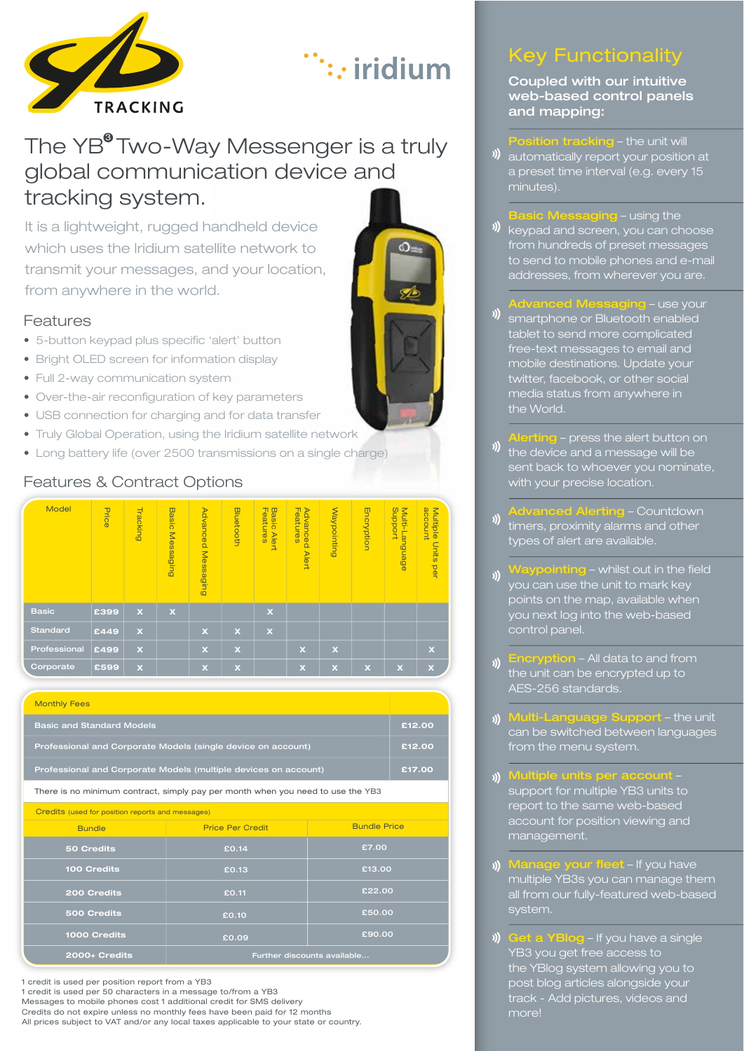

# ∴: iridium

# The YB<sup>®</sup> Two-Way Messenger is a truly global communication device and tracking system.

It is a lightweight, rugged handheld device which uses the Iridium satellite network to transmit your messages, and your location, from anywhere in the world.

#### Features

- 5-button keypad plus specific 'alert' button
- Bright OLED screen for information display
- Full 2-way communication system
- Over-the-air reconfiguration of key parameters
- USB connection for charging and for data transfer
- Truly Global Operation, using the Iridium satellite network
- Long battery life (over 2500 transmissions on a single charge)

| Model        | Price | <b>Tracking</b>         | <b>Basic</b><br>Messaging | Advanced Messaging | <b>Bluetooth</b>        | <b>Features</b><br><b>Basic Alert</b> | <b>Advanced</b><br>Features<br><b>Alert</b> | Waypointing               | Encryption  | proport<br>Multi-Language | account<br>Multiple<br>Units per |
|--------------|-------|-------------------------|---------------------------|--------------------|-------------------------|---------------------------------------|---------------------------------------------|---------------------------|-------------|---------------------------|----------------------------------|
| <b>Basic</b> | £399  | $\mathbf x$             | $\overline{\mathbf{x}}$   |                    |                         | $\mathbf x$                           |                                             |                           |             |                           |                                  |
| Standard     | £449  | $\mathbf x$             |                           | $\mathbf x$        | $\mathbf x$             | $\mathbf x$                           |                                             |                           |             |                           |                                  |
| Professional | £499  | $\overline{\mathbf{x}}$ |                           | $\mathbf x$        | $\mathbf x$             |                                       | $\overline{\mathbf{x}}$                     | $\boldsymbol{\mathsf{x}}$ |             |                           | $\mathbf x$                      |
| Corporate    | £599  | $\mathbf x$             |                           | $\mathbf x$        | $\overline{\mathbf{x}}$ |                                       | $\mathbf x$                                 | $\overline{\mathbf{x}}$   | $\mathbf x$ | $\mathbf x$               | $\overline{\mathbf{x}}$          |

#### Features & Contract Options

| <b>Monthly Fees</b>                                             |        |
|-----------------------------------------------------------------|--------|
| <b>Basic and Standard Models</b>                                | £12.00 |
| Professional and Corporate Models (single device on account)    | £12.00 |
| Professional and Corporate Models (multiple devices on account) | £17.00 |

There is no minimum contract, simply pay per month when you need to use the YB3

Credits (used for position reports and messages)

| <b>Bundle</b> | <b>Price Per Credit</b>     | <b>Bundle Price</b> |  |  |
|---------------|-----------------------------|---------------------|--|--|
| 50 Credits    | £0.14                       | £7.00               |  |  |
| 100 Credits   | £0.13                       | £13.00              |  |  |
| 200 Credits   | £0.11                       | £22.00              |  |  |
| 500 Credits   | £0.10                       | £50.00              |  |  |
| 1000 Credits  | £0.09                       | £90.00              |  |  |
| 2000+ Credits | Further discounts available |                     |  |  |

1 credit is used per position report from a YB3 1 credit is used per 50 characters in a message to/from a YB3 Messages to mobile phones cost 1 additional credit for SMS delivery Credits do not expire unless no monthly fees have been paid for 12 months

All prices subject to VAT and/or any local taxes applicable to your state or country.

## Key Functionality

Coupled with our intuitive web-based control panels and mapping:

**Position tracking** – the unit will **)** automatically report your position at

a preset time interval (e.g. every 15 minutes).

**Basic Messaging - using the** 

- keypad and screen, you can choose from hundreds of preset messages to send to mobile phones and e-mail addresses, from wherever you are.
- <u>.</u><br>**Advanced Messaging** use your | **)** smartphone or Bluetooth enabled tablet to send more complicated free-text messages to email and mobile destinations. Update your twitter, facebook, or other social media status from anywhere in the World.
- Alerting press the alert button on  $\frac{1}{\sqrt{2}}$  the device and a message will be sent back to whoever you nominate, with your precise location.
- Advanced Alerting Countdown **))** timers, proximity alarms and other types of alert are available.
- Waypointing whilst out in the field you can use the unit to mark key points on the map, available when you next log into the web-based control panel.
- Encryption All data to and from )) the unit can be encrypted up to AES-256 standards.
- Multi-Language Support the unit **))** can be switched between languages from the menu system.
- Multiple units per account support for multiple YB3 units to report to the same web-based account for position viewing and management.
- **Manage your fleet** If you have multiple YB3s you can manage them all from our fully-featured web-based system.
- $\mathcal{N}$ Get a YBlog – If you have a single YB3 you get free access to the YBlog system allowing you to post blog articles alongside your track - Add pictures, videos and more!